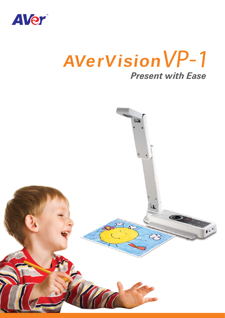

# *Present with Ease* AVerVision VP-1

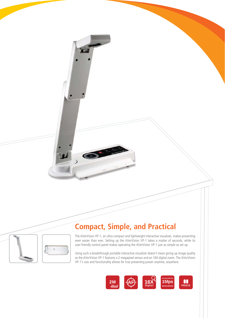

## **Compact, Simple, and Practical**

 $\bullet$ 

The AVerVision VP-1, an ultra-compact and lightweight interactive visualizer, makes presenting even easier than ever. Setting up the AVerVision VP-1 takes a matter of seconds, while its user-friendly control panel makes operating the AVerVision VP-1 just as simple as set up.

Using such a breakthrough portable interactive visualizer doesn't mean giving up image quality as the AVerVision VP-1 features a 2-megapixel sensor and an 16X digital zoom. The AVerVision VP-1's size and functionality allows for true presenting power anytime, anywhere.

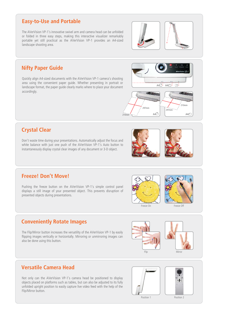#### **Easy-to-Use and Portable**

The AVerVision VP-1's innovative swivel arm and camera head can be unfolded or folded in three easy steps, making this interactive visualizer remarkably portable yet still practical as the AVerVision VP-1 provides an A4-sized landscape shooting area.

 $A4 \Box$   $A4$ 

297mm  $\int_{297 \text{mm}}^{28}$ 

#### **Nifty Paper Guide**

**Crystal Clear**

Quickly align A4-sized documents with the AVerVision VP-1 camera's shooting area using the convenient paper guide. Whether presenting in portrait or landscape format, the paper guide clearly marks where to place your document accordingly.



#### **Freeze! Don't Move!**

Pushing the freeze button on the AVerVision VP-1's simple control panel displays a still image of your presented object. This prevents disruption of presented objects during presentations.

Don't waste time during your presentations. Automatically adjust the focus and white balance with just one push of the AVerVision VP-1's Auto button to instantaneously display crystal clear images of any document or 3-D object.



 $210\text{mm}^2$   $\sim$   $\sim$   $/$  A4



210mm

 $\Box$ 

 $AA$ <sup> $\Box$ </sup>

#### **Conveniently Rotate Images**

The Flip/Mirror button increases the versatility of the AVerVision VP-1 by easily flipping images vertically or horizontally. Mirroring or unmirroring images can also be done using this button.





#### **Versatile Camera Head**

Not only can the AVerVision VP-1's camera head be positioned to display objects placed on platforms such as tables, but can also be adjusted to its fully unfolded upright position to easily capture live video feed with the help of the Flip/Mirror button.